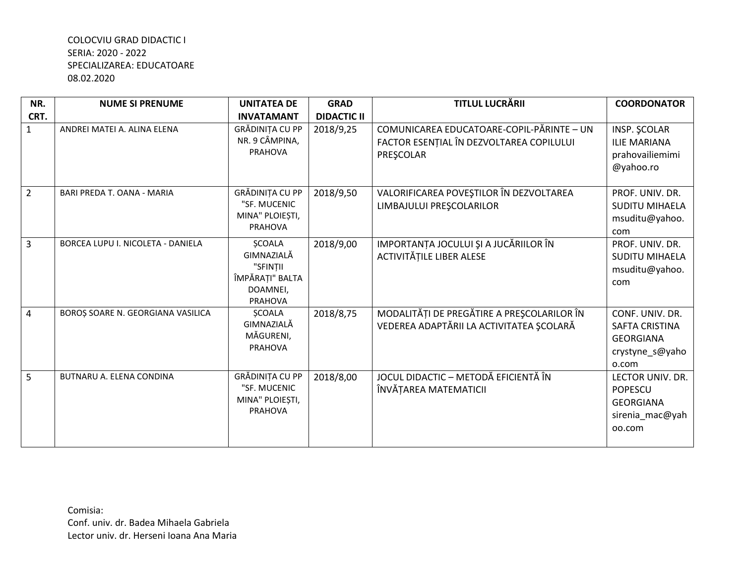| NR.            | <b>NUME SI PRENUME</b>            | <b>UNITATEA DE</b>                                                                | <b>GRAD</b>        | <b>TITLUL LUCRĂRII</b>                                                                             | <b>COORDONATOR</b>                                                                  |
|----------------|-----------------------------------|-----------------------------------------------------------------------------------|--------------------|----------------------------------------------------------------------------------------------------|-------------------------------------------------------------------------------------|
| CRT.           |                                   | <b>INVATAMANT</b>                                                                 | <b>DIDACTIC II</b> |                                                                                                    |                                                                                     |
| $\mathbf{1}$   | ANDREI MATEI A. ALINA ELENA       | GRĂDINIȚA CU PP<br>NR. 9 CÂMPINA,<br>PRAHOVA                                      | 2018/9,25          | COMUNICAREA EDUCATOARE-COPIL-PĂRINTE - UN<br>FACTOR ESENȚIAL ÎN DEZVOLTAREA COPILULUI<br>PRESCOLAR | INSP. ŞCOLAR<br><b>ILIE MARIANA</b><br>prahovailiemimi<br>@yahoo.ro                 |
| $\overline{2}$ | BARI PREDA T. OANA - MARIA        | GRĂDINIȚA CU PP<br>"SF. MUCENIC<br>MINA" PLOIEȘTI,<br>PRAHOVA                     | 2018/9,50          | VALORIFICAREA POVEŞTILOR ÎN DEZVOLTAREA<br>LIMBAJULUI PREȘCOLARILOR                                | PROF. UNIV. DR.<br><b>SUDITU MIHAELA</b><br>msuditu@yahoo.<br>com                   |
| $\overline{3}$ | BORCEA LUPU I. NICOLETA - DANIELA | <b>ŞCOALA</b><br>GIMNAZIALĂ<br>"SFINTII<br>ÎMPĂRAȚI" BALTA<br>DOAMNEI,<br>PRAHOVA | 2018/9,00          | IMPORTANȚA JOCULUI ȘI A JUCĂRIILOR ÎN<br>ACTIVITĂȚILE LIBER ALESE                                  | PROF. UNIV. DR.<br><b>SUDITU MIHAELA</b><br>msuditu@yahoo.<br>com                   |
| $\overline{4}$ | BOROȘ SOARE N. GEORGIANA VASILICA | <b>SCOALA</b><br>GIMNAZIALĂ<br>MĂGURENI,<br><b>PRAHOVA</b>                        | 2018/8,75          | MODALITĂȚI DE PREGĂTIRE A PREȘCOLARILOR ÎN<br>VEDEREA ADAPTĂRII LA ACTIVITATEA ȘCOLARĂ             | CONF. UNIV. DR.<br>SAFTA CRISTINA<br><b>GEORGIANA</b><br>crystyne_s@yaho<br>o.com   |
| 5              | BUTNARU A. ELENA CONDINA          | GRĂDINIȚA CU PP<br>"SF. MUCENIC<br>MINA" PLOIEȘTI,<br>PRAHOVA                     | 2018/8,00          | JOCUL DIDACTIC - METODĂ EFICIENTĂ ÎN<br>ÎNVĂȚAREA MATEMATICII                                      | LECTOR UNIV. DR.<br><b>POPESCU</b><br><b>GEORGIANA</b><br>sirenia_mac@yah<br>oo.com |

Comisia: Conf. univ. dr. Badea Mihaela Gabriela Lector univ. dr. Herseni Ioana Ana Maria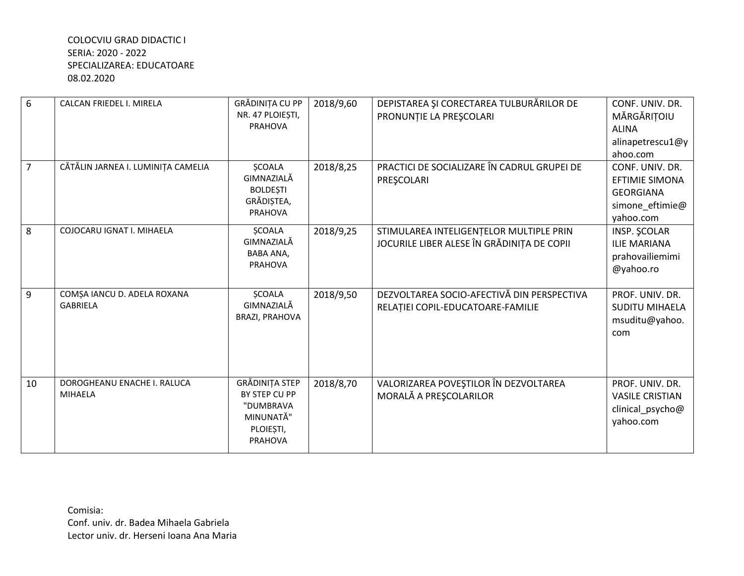| 6              | CALCAN FRIEDEL I. MIRELA                       | GRĂDINIȚA CU PP<br>NR. 47 PLOIEȘTI,<br><b>PRAHOVA</b>                             | 2018/9,60 | DEPISTAREA ȘI CORECTAREA TULBURĂRILOR DE<br>PRONUNȚIE LA PREȘCOLARI                   | CONF. UNIV. DR.<br>MĂRGĂRIȚOIU<br><b>ALINA</b><br>alinapetrescu1@y<br>ahoo.com               |
|----------------|------------------------------------------------|-----------------------------------------------------------------------------------|-----------|---------------------------------------------------------------------------------------|----------------------------------------------------------------------------------------------|
| $\overline{7}$ | CĂTĂLIN JARNEA I. LUMINIȚA CAMELIA             | <b>SCOALA</b><br>GIMNAZIALĂ<br><b>BOLDESTI</b><br>GRĂDIȘTEA,<br><b>PRAHOVA</b>    | 2018/8,25 | PRACTICI DE SOCIALIZARE ÎN CADRUL GRUPEI DE<br>PRESCOLARI                             | CONF. UNIV. DR.<br><b>EFTIMIE SIMONA</b><br><b>GEORGIANA</b><br>simone_eftimie@<br>yahoo.com |
| 8              | COJOCARU IGNAT I. MIHAELA                      | <b>ŞCOALA</b><br>GIMNAZIALĂ<br>BABA ANA,<br>PRAHOVA                               | 2018/9,25 | STIMULAREA INTELIGENȚELOR MULTIPLE PRIN<br>JOCURILE LIBER ALESE ÎN GRĂDINIȚA DE COPII | <b>INSP. SCOLAR</b><br><b>ILIE MARIANA</b><br>prahovailiemimi<br>@yahoo.ro                   |
| 9              | COMȘA IANCU D. ADELA ROXANA<br><b>GABRIELA</b> | <b>ŞCOALA</b><br>GIMNAZIALĂ<br><b>BRAZI, PRAHOVA</b>                              | 2018/9,50 | DEZVOLTAREA SOCIO-AFECTIVĂ DIN PERSPECTIVA<br>RELAȚIEI COPIL-EDUCATOARE-FAMILIE       | PROF. UNIV. DR.<br><b>SUDITU MIHAELA</b><br>msuditu@yahoo.<br>com                            |
| 10             | DOROGHEANU ENACHE I. RALUCA<br><b>MIHAELA</b>  | GRĂDINIȚA STEP<br>BY STEP CU PP<br>"DUMBRAVA<br>MINUNATĂ"<br>PLOIESTI,<br>PRAHOVA | 2018/8,70 | VALORIZAREA POVEȘTILOR ÎN DEZVOLTAREA<br>MORALĂ A PREȘCOLARILOR                       | PROF. UNIV. DR.<br><b>VASILE CRISTIAN</b><br>clinical psycho@<br>yahoo.com                   |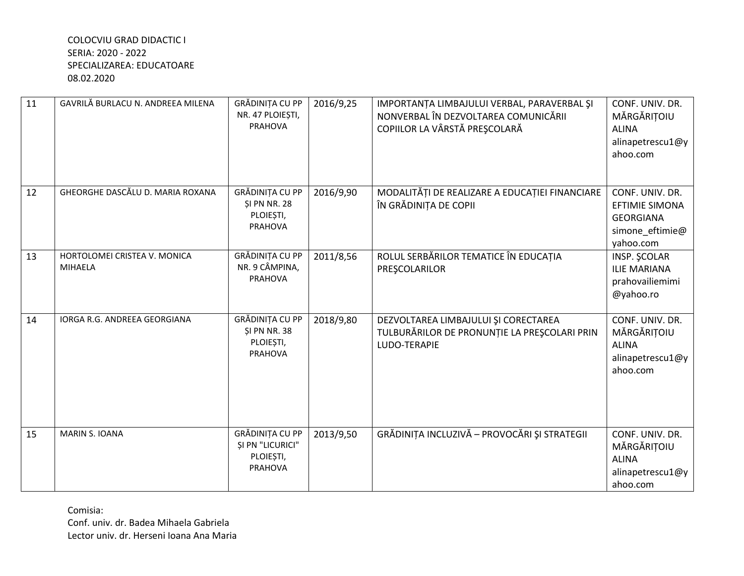| 11 | GAVRILĂ BURLACU N. ANDREEA MILENA              | GRĂDINIȚA CU PP<br>NR. 47 PLOIEȘTI,<br><b>PRAHOVA</b>                        | 2016/9,25 | IMPORTANȚA LIMBAJULUI VERBAL, PARAVERBAL ȘI<br>NONVERBAL ÎN DEZVOLTAREA COMUNICĂRII<br>COPIILOR LA VÂRSTĂ PREȘCOLARĂ | CONF. UNIV. DR.<br>MĂRGĂRIȚOIU<br><b>ALINA</b><br>alinapetrescu1@y<br>ahoo.com               |
|----|------------------------------------------------|------------------------------------------------------------------------------|-----------|----------------------------------------------------------------------------------------------------------------------|----------------------------------------------------------------------------------------------|
| 12 | GHEORGHE DASCĂLU D. MARIA ROXANA               | <b>GRĂDINIȚA CU PP</b><br><b>ŞI PN NR. 28</b><br>PLOIEȘTI,<br><b>PRAHOVA</b> | 2016/9,90 | MODALITĂȚI DE REALIZARE A EDUCAȚIEI FINANCIARE<br>ÎN GRĂDINIȚA DE COPII                                              | CONF. UNIV. DR.<br><b>EFTIMIE SIMONA</b><br><b>GEORGIANA</b><br>simone_eftimie@<br>yahoo.com |
| 13 | HORTOLOMEI CRISTEA V. MONICA<br><b>MIHAELA</b> | GRĂDINIȚA CU PP<br>NR. 9 CÂMPINA,<br><b>PRAHOVA</b>                          | 2011/8,56 | ROLUL SERBĂRILOR TEMATICE ÎN EDUCAȚIA<br>PRESCOLARILOR                                                               | INSP. SCOLAR<br><b>ILIE MARIANA</b><br>prahovailiemimi<br>@yahoo.ro                          |
| 14 | IORGA R.G. ANDREEA GEORGIANA                   | GRĂDINIȚA CU PP<br><b>\$1 PN NR. 38</b><br>PLOIEȘTI,<br><b>PRAHOVA</b>       | 2018/9,80 | DEZVOLTAREA LIMBAJULUI ȘI CORECTAREA<br>TULBURĂRILOR DE PRONUNȚIE LA PREȘCOLARI PRIN<br>LUDO-TERAPIE                 | CONF. UNIV. DR.<br>MĂRGĂRIȚOIU<br><b>ALINA</b><br>alinapetrescu1@y<br>ahoo.com               |
| 15 | <b>MARIN S. IOANA</b>                          | GRĂDINIȚA CU PP<br><b>SI PN "LICURICI"</b><br>PLOIEȘTI,<br>PRAHOVA           | 2013/9,50 | GRĂDINIȚA INCLUZIVĂ - PROVOCĂRI ȘI STRATEGII                                                                         | CONF. UNIV. DR.<br>MĂRGĂRIȚOIU<br><b>ALINA</b><br>alinapetrescu1@y<br>ahoo.com               |

Comisia:

Conf. univ. dr. Badea Mihaela Gabriela Lector univ. dr. Herseni Ioana Ana Maria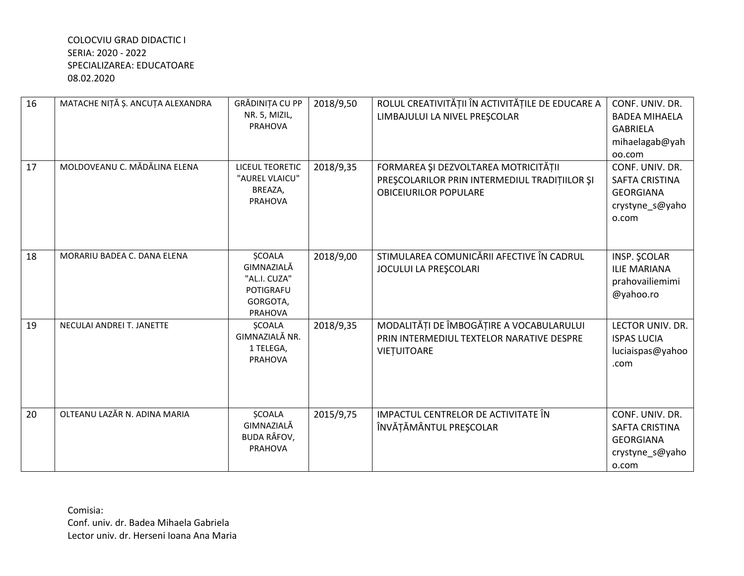| 16 | MATACHE NIȚĂ Ș. ANCUȚA ALEXANDRA | GRĂDINIȚA CU PP<br>NR. 5, MIZIL,<br><b>PRAHOVA</b>                                            | 2018/9,50 | ROLUL CREATIVITĂȚII ÎN ACTIVITĂȚILE DE EDUCARE A<br>LIMBAJULUI LA NIVEL PREȘCOLAR                                     | CONF. UNIV. DR.<br><b>BADEA MIHAELA</b><br><b>GABRIELA</b><br>mihaelagab@yah<br>oo.com |
|----|----------------------------------|-----------------------------------------------------------------------------------------------|-----------|-----------------------------------------------------------------------------------------------------------------------|----------------------------------------------------------------------------------------|
| 17 | MOLDOVEANU C. MĂDĂLINA ELENA     | <b>LICEUL TEORETIC</b><br>"AUREL VLAICU"<br>BREAZA,<br>PRAHOVA                                | 2018/9,35 | FORMAREA ȘI DEZVOLTAREA MOTRICITĂȚII<br>PRESCOLARILOR PRIN INTERMEDIUL TRADITIILOR ȘI<br><b>OBICEIURILOR POPULARE</b> | CONF. UNIV. DR.<br>SAFTA CRISTINA<br><b>GEORGIANA</b><br>crystyne_s@yaho<br>o.com      |
| 18 | MORARIU BADEA C. DANA ELENA      | <b>ŞCOALA</b><br>GIMNAZIALĂ<br>"AL.I. CUZA"<br><b>POTIGRAFU</b><br>GORGOTA,<br><b>PRAHOVA</b> | 2018/9,00 | STIMULAREA COMUNICĂRII AFECTIVE ÎN CADRUL<br>JOCULUI LA PREȘCOLARI                                                    | INSP. SCOLAR<br><b>ILIE MARIANA</b><br>prahovailiemimi<br>@yahoo.ro                    |
| 19 | NECULAI ANDREI T. JANETTE        | <b>SCOALA</b><br>GIMNAZIALĂ NR.<br>1 TELEGA,<br><b>PRAHOVA</b>                                | 2018/9,35 | MODALITĂȚI DE ÎMBOGĂȚIRE A VOCABULARULUI<br>PRIN INTERMEDIUL TEXTELOR NARATIVE DESPRE<br>VIETUITOARE                  | LECTOR UNIV. DR.<br><b>ISPAS LUCIA</b><br>luciaispas@yahoo<br>.com                     |
| 20 | OLTEANU LAZĂR N. ADINA MARIA     | <b>ŞCOALA</b><br>GIMNAZIALĂ<br><b>BUDA RÂFOV,</b><br><b>PRAHOVA</b>                           | 2015/9,75 | IMPACTUL CENTRELOR DE ACTIVITATE ÎN<br>ÎNVĂȚĂMÂNTUL PREȘCOLAR                                                         | CONF. UNIV. DR.<br>SAFTA CRISTINA<br><b>GEORGIANA</b><br>crystyne_s@yaho<br>o.com      |